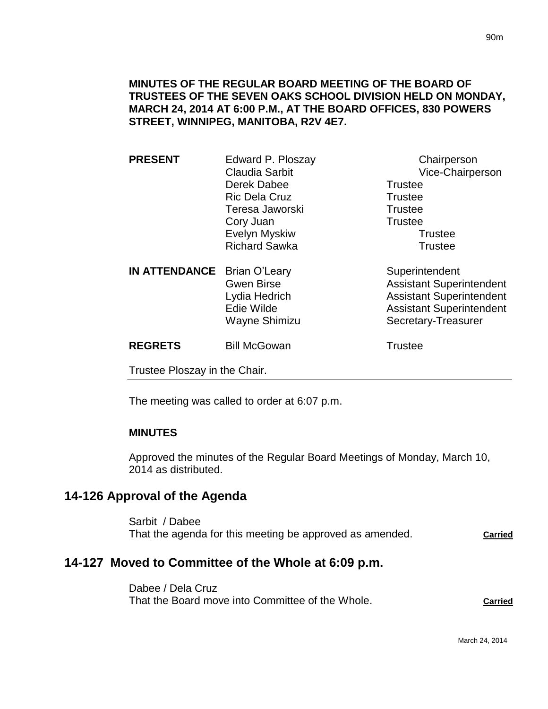#### **MINUTES OF THE REGULAR BOARD MEETING OF THE BOARD OF TRUSTEES OF THE SEVEN OAKS SCHOOL DIVISION HELD ON MONDAY, MARCH 24, 2014 AT 6:00 P.M., AT THE BOARD OFFICES, 830 POWERS STREET, WINNIPEG, MANITOBA, R2V 4E7.**

| Claudia Sarbit<br>Derek Dabee<br><b>Trustee</b><br><b>Ric Dela Cruz</b><br><b>Trustee</b><br>Teresa Jaworski<br><b>Trustee</b><br>Trustee<br>Cory Juan<br>Evelyn Myskiw<br>Trustee<br><b>Richard Sawka</b><br><b>Trustee</b><br><b>IN ATTENDANCE</b><br>Brian O'Leary<br>Superintendent<br><b>Gwen Birse</b><br><b>Assistant Superintendent</b><br><b>Assistant Superintendent</b><br>Lydia Hedrich<br>Edie Wilde<br><b>Assistant Superintendent</b><br>Wayne Shimizu<br>Secretary-Treasurer<br><b>REGRETS</b><br><b>Bill McGowan</b><br><b>Trustee</b> | <b>PRESENT</b> | Edward P. Ploszay | Chairperson      |
|---------------------------------------------------------------------------------------------------------------------------------------------------------------------------------------------------------------------------------------------------------------------------------------------------------------------------------------------------------------------------------------------------------------------------------------------------------------------------------------------------------------------------------------------------------|----------------|-------------------|------------------|
|                                                                                                                                                                                                                                                                                                                                                                                                                                                                                                                                                         |                |                   | Vice-Chairperson |
|                                                                                                                                                                                                                                                                                                                                                                                                                                                                                                                                                         |                |                   |                  |
|                                                                                                                                                                                                                                                                                                                                                                                                                                                                                                                                                         |                |                   |                  |
|                                                                                                                                                                                                                                                                                                                                                                                                                                                                                                                                                         |                |                   |                  |
|                                                                                                                                                                                                                                                                                                                                                                                                                                                                                                                                                         |                |                   |                  |
|                                                                                                                                                                                                                                                                                                                                                                                                                                                                                                                                                         |                |                   |                  |
|                                                                                                                                                                                                                                                                                                                                                                                                                                                                                                                                                         |                |                   |                  |
|                                                                                                                                                                                                                                                                                                                                                                                                                                                                                                                                                         |                |                   |                  |
|                                                                                                                                                                                                                                                                                                                                                                                                                                                                                                                                                         |                |                   |                  |
|                                                                                                                                                                                                                                                                                                                                                                                                                                                                                                                                                         |                |                   |                  |
|                                                                                                                                                                                                                                                                                                                                                                                                                                                                                                                                                         |                |                   |                  |
|                                                                                                                                                                                                                                                                                                                                                                                                                                                                                                                                                         |                |                   |                  |
|                                                                                                                                                                                                                                                                                                                                                                                                                                                                                                                                                         |                |                   |                  |
| Trustee Ploszay in the Chair.                                                                                                                                                                                                                                                                                                                                                                                                                                                                                                                           |                |                   |                  |

The meeting was called to order at 6:07 p.m.

#### **MINUTES**

Approved the minutes of the Regular Board Meetings of Monday, March 10, 2014 as distributed.

# **14-126 Approval of the Agenda**

Sarbit / Dabee That the agenda for this meeting be approved as amended. **Carried**

# **14-127 Moved to Committee of the Whole at 6:09 p.m.**

Dabee / Dela Cruz That the Board move into Committee of the Whole. **Carried**

March 24, 2014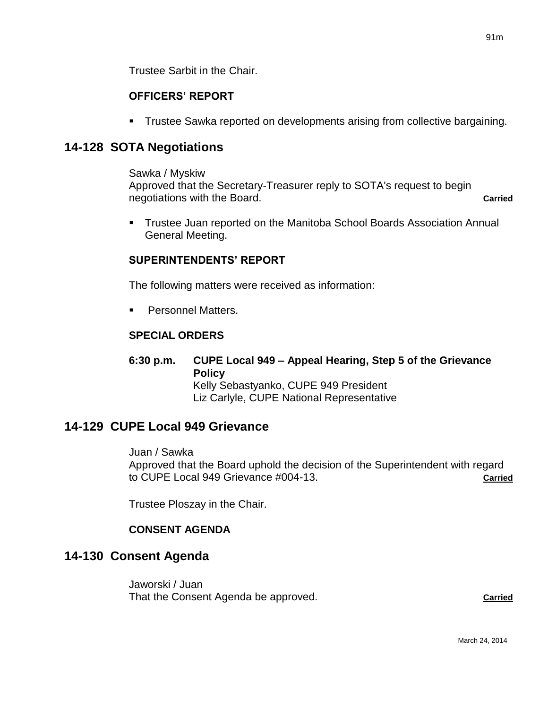# **OFFICERS' REPORT**

**Trustee Sawka reported on developments arising from collective bargaining.** 

# **14-128 SOTA Negotiations**

#### Sawka / Myskiw

Approved that the Secretary-Treasurer reply to SOTA's request to begin negotiations with the Board. **Carried Carried** 

 Trustee Juan reported on the Manitoba School Boards Association Annual General Meeting.

# **SUPERINTENDENTS' REPORT**

The following matters were received as information:

**Personnel Matters.** 

# **SPECIAL ORDERS**

**6:30 p.m. CUPE Local 949 – Appeal Hearing, Step 5 of the Grievance Policy** Kelly Sebastyanko, CUPE 949 President Liz Carlyle, CUPE National Representative

# **14-129 CUPE Local 949 Grievance**

Juan / Sawka

Approved that the Board uphold the decision of the Superintendent with regard to CUPE Local 949 Grievance #004-13. **Carried**

Trustee Ploszay in the Chair.

## **CONSENT AGENDA**

# **14-130 Consent Agenda**

Jaworski / Juan That the Consent Agenda be approved. **Carried**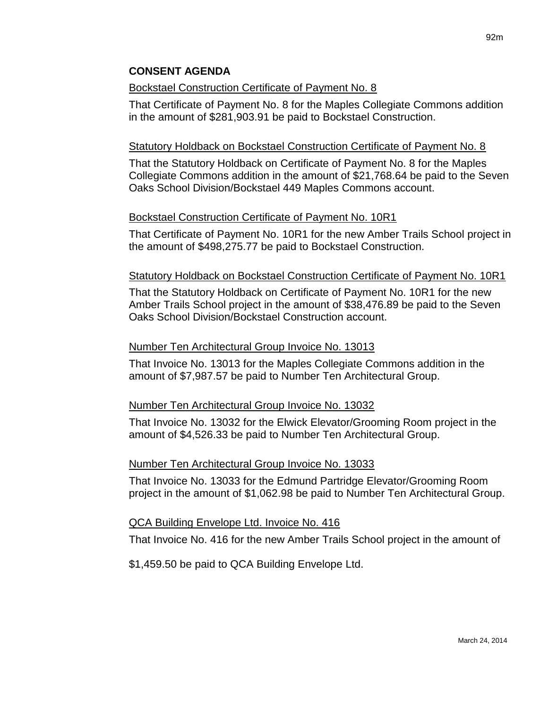## Bockstael Construction Certificate of Payment No. 8

That Certificate of Payment No. 8 for the Maples Collegiate Commons addition in the amount of \$281,903.91 be paid to Bockstael Construction.

# Statutory Holdback on Bockstael Construction Certificate of Payment No. 8

That the Statutory Holdback on Certificate of Payment No. 8 for the Maples Collegiate Commons addition in the amount of \$21,768.64 be paid to the Seven Oaks School Division/Bockstael 449 Maples Commons account.

# Bockstael Construction Certificate of Payment No. 10R1

That Certificate of Payment No. 10R1 for the new Amber Trails School project in the amount of \$498,275.77 be paid to Bockstael Construction.

## Statutory Holdback on Bockstael Construction Certificate of Payment No. 10R1

That the Statutory Holdback on Certificate of Payment No. 10R1 for the new Amber Trails School project in the amount of \$38,476.89 be paid to the Seven Oaks School Division/Bockstael Construction account.

## Number Ten Architectural Group Invoice No. 13013

That Invoice No. 13013 for the Maples Collegiate Commons addition in the amount of \$7,987.57 be paid to Number Ten Architectural Group.

## Number Ten Architectural Group Invoice No. 13032

That Invoice No. 13032 for the Elwick Elevator/Grooming Room project in the amount of \$4,526.33 be paid to Number Ten Architectural Group.

## Number Ten Architectural Group Invoice No. 13033

That Invoice No. 13033 for the Edmund Partridge Elevator/Grooming Room project in the amount of \$1,062.98 be paid to Number Ten Architectural Group.

## QCA Building Envelope Ltd. Invoice No. 416

That Invoice No. 416 for the new Amber Trails School project in the amount of

\$1,459.50 be paid to QCA Building Envelope Ltd.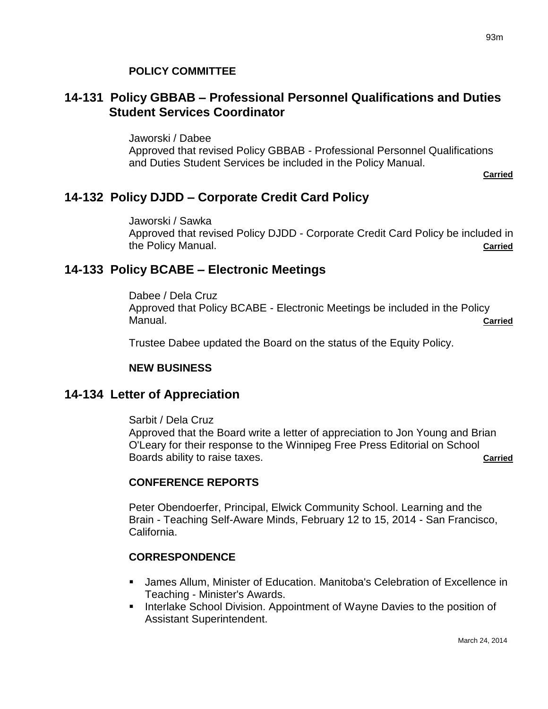# **14-131 Policy GBBAB – Professional Personnel Qualifications and Duties Student Services Coordinator**

Jaworski / Dabee

Approved that revised Policy GBBAB - Professional Personnel Qualifications and Duties Student Services be included in the Policy Manual.

**Carried**

# **14-132 Policy DJDD – Corporate Credit Card Policy**

Jaworski / Sawka Approved that revised Policy DJDD - Corporate Credit Card Policy be included in the Policy Manual. **Carried**

# **14-133 Policy BCABE – Electronic Meetings**

Dabee / Dela Cruz Approved that Policy BCABE - Electronic Meetings be included in the Policy Manual. **Carried**

Trustee Dabee updated the Board on the status of the Equity Policy.

# **NEW BUSINESS**

# **14-134 Letter of Appreciation**

Sarbit / Dela Cruz

Approved that the Board write a letter of appreciation to Jon Young and Brian O'Leary for their response to the Winnipeg Free Press Editorial on School Boards ability to raise taxes. **Carried Carried** 

# **CONFERENCE REPORTS**

Peter Obendoerfer, Principal, Elwick Community School. Learning and the Brain - Teaching Self-Aware Minds, February 12 to 15, 2014 - San Francisco, California.

# **CORRESPONDENCE**

- James Allum, Minister of Education. Manitoba's Celebration of Excellence in Teaching - Minister's Awards.
- **Interlake School Division. Appointment of Wayne Davies to the position of** Assistant Superintendent.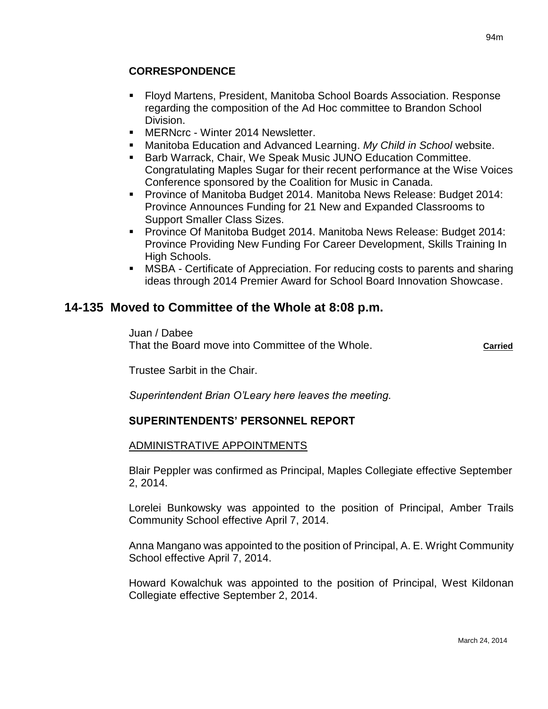- Floyd Martens, President, Manitoba School Boards Association. Response regarding the composition of the Ad Hoc committee to Brandon School Division.
- MERNcrc Winter 2014 Newsletter.
- Manitoba Education and Advanced Learning. *My Child in School* website.
- **Barb Warrack, Chair, We Speak Music JUNO Education Committee.** Congratulating Maples Sugar for their recent performance at the Wise Voices Conference sponsored by the Coalition for Music in Canada.
- **Province of Manitoba Budget 2014. Manitoba News Release: Budget 2014:** Province Announces Funding for 21 New and Expanded Classrooms to Support Smaller Class Sizes.
- **Province Of Manitoba Budget 2014. Manitoba News Release: Budget 2014:** Province Providing New Funding For Career Development, Skills Training In High Schools.
- MSBA Certificate of Appreciation. For reducing costs to parents and sharing ideas through 2014 Premier Award for School Board Innovation Showcase.

# **14-135 Moved to Committee of the Whole at 8:08 p.m.**

Juan / Dabee That the Board move into Committee of the Whole. **Carried**

Trustee Sarbit in the Chair.

*Superintendent Brian O'Leary here leaves the meeting.*

## **SUPERINTENDENTS' PERSONNEL REPORT**

#### ADMINISTRATIVE APPOINTMENTS

Blair Peppler was confirmed as Principal, Maples Collegiate effective September 2, 2014.

Lorelei Bunkowsky was appointed to the position of Principal, Amber Trails Community School effective April 7, 2014.

Anna Mangano was appointed to the position of Principal, A. E. Wright Community School effective April 7, 2014.

Howard Kowalchuk was appointed to the position of Principal, West Kildonan Collegiate effective September 2, 2014.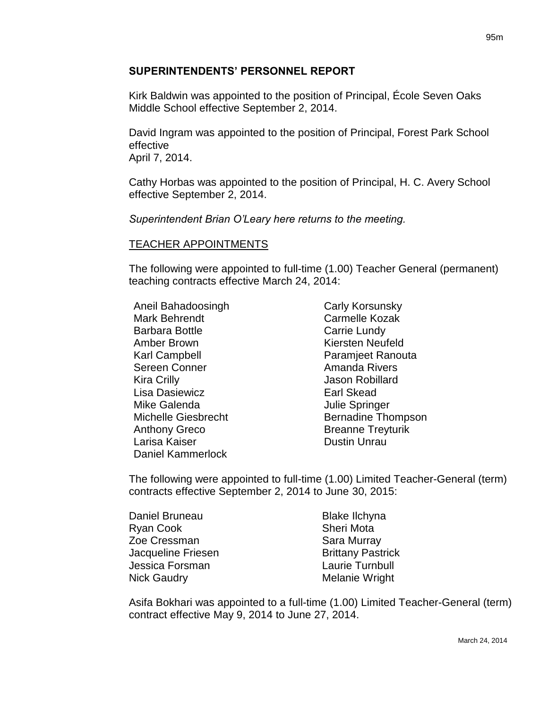#### **SUPERINTENDENTS' PERSONNEL REPORT**

Kirk Baldwin was appointed to the position of Principal, École Seven Oaks Middle School effective September 2, 2014.

David Ingram was appointed to the position of Principal, Forest Park School effective April 7, 2014.

Cathy Horbas was appointed to the position of Principal, H. C. Avery School effective September 2, 2014.

*Superintendent Brian O'Leary here returns to the meeting.*

#### TEACHER APPOINTMENTS

The following were appointed to full-time (1.00) Teacher General (permanent) teaching contracts effective March 24, 2014:

Aneil Bahadoosingh Mark Behrendt Barbara Bottle Amber Brown Karl Campbell Sereen Conner Kira Crilly Lisa Dasiewicz Mike Galenda Michelle Giesbrecht Anthony Greco Larisa Kaiser Daniel Kammerlock

Carly Korsunsky Carmelle Kozak Carrie Lundy Kiersten Neufeld Paramjeet Ranouta Amanda Rivers Jason Robillard Earl Skead Julie Springer Bernadine Thompson Breanne Treyturik Dustin Unrau

The following were appointed to full-time (1.00) Limited Teacher-General (term) contracts effective September 2, 2014 to June 30, 2015:

| Daniel Bruneau     | <b>Blake Ilchyna</b>     |
|--------------------|--------------------------|
| Ryan Cook          | <b>Sheri Mota</b>        |
| Zoe Cressman       | Sara Murray              |
| Jacqueline Friesen | <b>Brittany Pastrick</b> |
| Jessica Forsman    | Laurie Turnbull          |
| <b>Nick Gaudry</b> | Melanie Wright           |

Asifa Bokhari was appointed to a full-time (1.00) Limited Teacher-General (term) contract effective May 9, 2014 to June 27, 2014.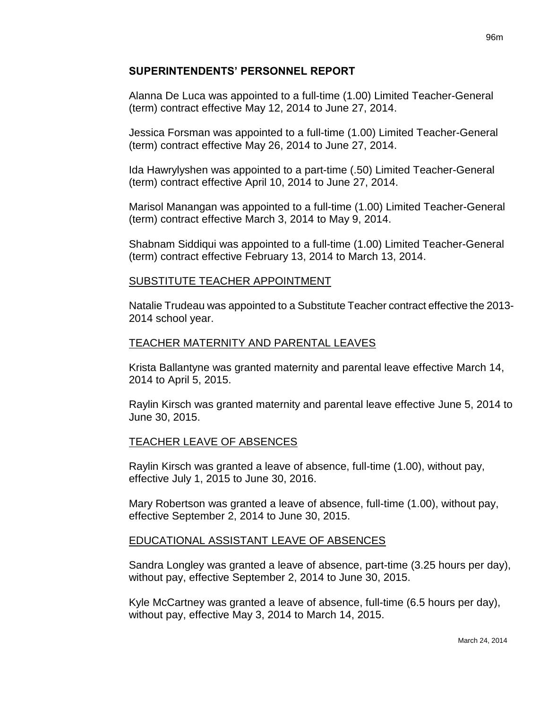#### **SUPERINTENDENTS' PERSONNEL REPORT**

Alanna De Luca was appointed to a full-time (1.00) Limited Teacher-General (term) contract effective May 12, 2014 to June 27, 2014.

Jessica Forsman was appointed to a full-time (1.00) Limited Teacher-General (term) contract effective May 26, 2014 to June 27, 2014.

Ida Hawrylyshen was appointed to a part-time (.50) Limited Teacher-General (term) contract effective April 10, 2014 to June 27, 2014.

Marisol Manangan was appointed to a full-time (1.00) Limited Teacher-General (term) contract effective March 3, 2014 to May 9, 2014.

Shabnam Siddiqui was appointed to a full-time (1.00) Limited Teacher-General (term) contract effective February 13, 2014 to March 13, 2014.

## SUBSTITUTE TEACHER APPOINTMENT

Natalie Trudeau was appointed to a Substitute Teacher contract effective the 2013- 2014 school year.

## TEACHER MATERNITY AND PARENTAL LEAVES

Krista Ballantyne was granted maternity and parental leave effective March 14, 2014 to April 5, 2015.

Raylin Kirsch was granted maternity and parental leave effective June 5, 2014 to June 30, 2015.

## TEACHER LEAVE OF ABSENCES

Raylin Kirsch was granted a leave of absence, full-time (1.00), without pay, effective July 1, 2015 to June 30, 2016.

Mary Robertson was granted a leave of absence, full-time (1.00), without pay, effective September 2, 2014 to June 30, 2015.

# EDUCATIONAL ASSISTANT LEAVE OF ABSENCES

Sandra Longley was granted a leave of absence, part-time (3.25 hours per day), without pay, effective September 2, 2014 to June 30, 2015.

Kyle McCartney was granted a leave of absence, full-time (6.5 hours per day), without pay, effective May 3, 2014 to March 14, 2015.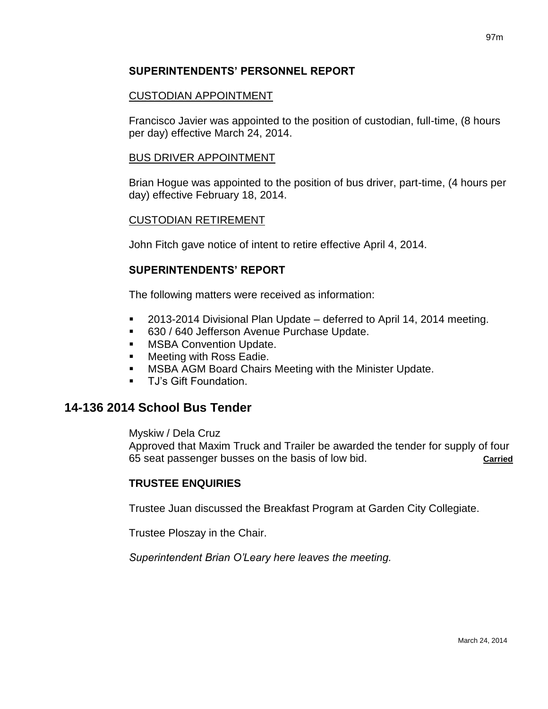#### **SUPERINTENDENTS' PERSONNEL REPORT**

#### CUSTODIAN APPOINTMENT

Francisco Javier was appointed to the position of custodian, full-time, (8 hours per day) effective March 24, 2014.

#### BUS DRIVER APPOINTMENT

Brian Hogue was appointed to the position of bus driver, part-time, (4 hours per day) effective February 18, 2014.

#### CUSTODIAN RETIREMENT

John Fitch gave notice of intent to retire effective April 4, 2014.

#### **SUPERINTENDENTS' REPORT**

The following matters were received as information:

- 2013-2014 Divisional Plan Update deferred to April 14, 2014 meeting.
- 630 / 640 Jefferson Avenue Purchase Update.
- MSBA Convention Update.
- **Neeting with Ross Eadie.**
- MSBA AGM Board Chairs Meeting with the Minister Update.
- TJ's Gift Foundation.

# **14-136 2014 School Bus Tender**

Myskiw / Dela Cruz

Approved that Maxim Truck and Trailer be awarded the tender for supply of four 65 seat passenger busses on the basis of low bid. **Carried**

## **TRUSTEE ENQUIRIES**

Trustee Juan discussed the Breakfast Program at Garden City Collegiate.

Trustee Ploszay in the Chair.

*Superintendent Brian O'Leary here leaves the meeting.*